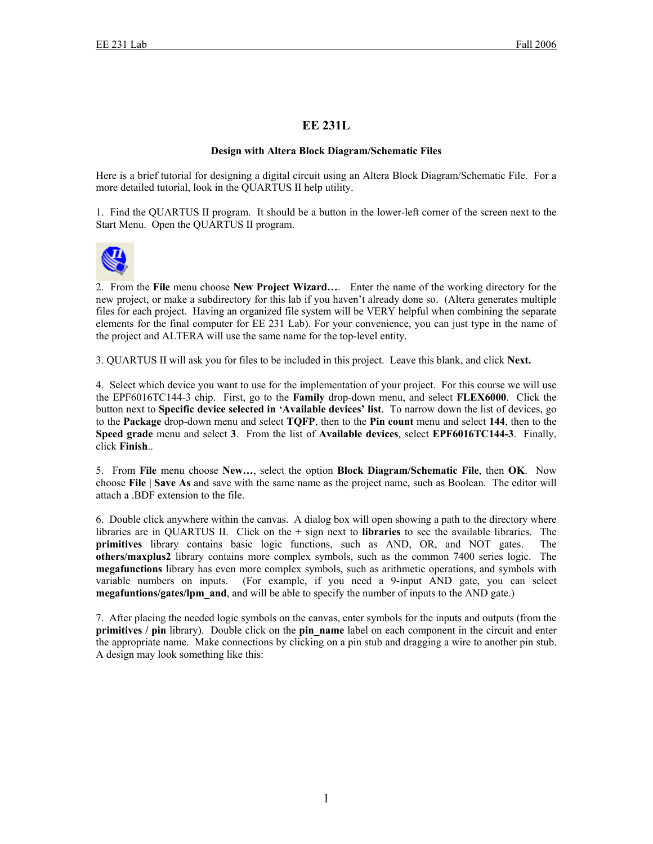## **EE 231L**

## **Design with Altera Block Diagram/Schematic Files**

Here is a brief tutorial for designing a digital circuit using an Altera Block Diagram/Schematic File. For a more detailed tutorial, look in the QUARTUS II help utility.

1. Find the QUARTUS II program. It should be a button in the lower-left corner of the screen next to the Start Menu. Open the QUARTUS II program.



2. From the **File** menu choose **New Project Wizard…**. Enter the name of the working directory for the new project, or make a subdirectory for this lab if you haven't already done so. (Altera generates multiple files for each project. Having an organized file system will be VERY helpful when combining the separate elements for the final computer for EE 231 Lab). For your convenience, you can just type in the name of the project and ALTERA will use the same name for the top-level entity.

3. QUARTUS II will ask you for files to be included in this project. Leave this blank, and click **Next.** 

4. Select which device you want to use for the implementation of your project. For this course we will use the EPF6016TC144-3 chip. First, go to the **Family** drop-down menu, and select **FLEX6000**. Click the button next to **Specific device selected in 'Available devices' list**. To narrow down the list of devices, go to the **Package** drop-down menu and select **TQFP**, then to the **Pin count** menu and select **144**, then to the **Speed grade** menu and select **3**. From the list of **Available devices**, select **EPF6016TC144-3**. Finally, click **Finish**..

5. From **File** menu choose **New…**, select the option **Block Diagram/Schematic File**, then **OK**. Now choose **File | Save As** and save with the same name as the project name, such as Boolean. The editor will attach a .BDF extension to the file.

6. Double click anywhere within the canvas. A dialog box will open showing a path to the directory where libraries are in QUARTUS II. Click on the + sign next to **libraries** to see the available libraries. The **primitives** library contains basic logic functions, such as AND, OR, and NOT gates. The **others/maxplus2** library contains more complex symbols, such as the common 7400 series logic. The **megafunctions** library has even more complex symbols, such as arithmetic operations, and symbols with variable numbers on inputs. (For example, if you need a 9-input AND gate, you can select **megafuntions/gates/lpm\_and**, and will be able to specify the number of inputs to the AND gate.)

7. After placing the needed logic symbols on the canvas, enter symbols for the inputs and outputs (from the **primitives** / **pin** library). Double click on the **pin** name label on each component in the circuit and enter the appropriate name. Make connections by clicking on a pin stub and dragging a wire to another pin stub. A design may look something like this: